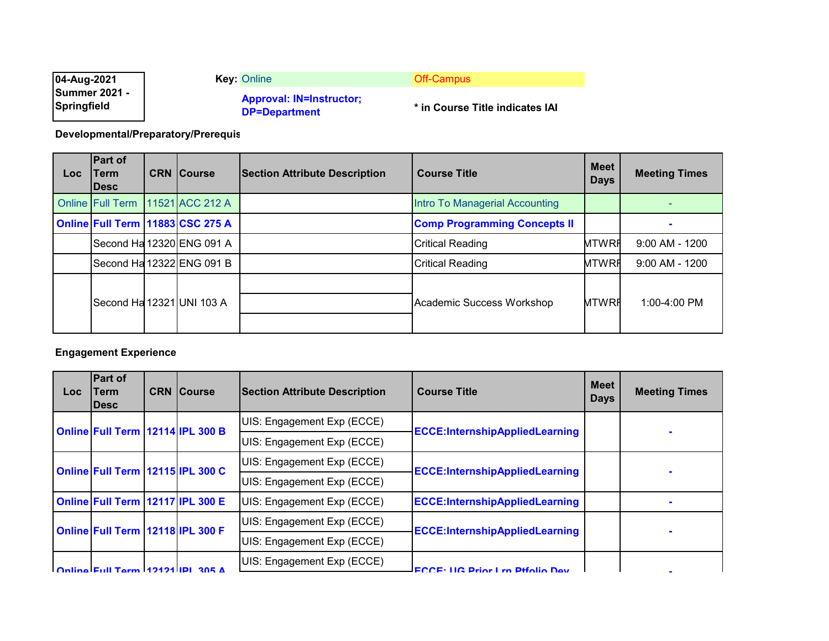| 04-Aug-2021                         | <b>Key: Online</b>                                      | Off-Campus                      |
|-------------------------------------|---------------------------------------------------------|---------------------------------|
| <b>Summer 2021 -</b><br>Springfield | <b>Approval: IN=Instructor:</b><br><b>DP=Department</b> | * in Course Title indicates IAI |

**Developmental/Preparatory/Prerequis**

| Loc | <b>Part of</b><br>Term<br><b>IDesc</b> | <b>CRN Course</b>                | <b>Section Attribute Description</b> | <b>Course Title</b>                 | <b>Meet</b><br><b>Days</b> | <b>Meeting Times</b> |
|-----|----------------------------------------|----------------------------------|--------------------------------------|-------------------------------------|----------------------------|----------------------|
|     | Online Full Term                       | 11521 ACC 212 A                  |                                      | Intro To Managerial Accounting      |                            |                      |
|     |                                        | Online Full Term 11883 CSC 275 A |                                      | <b>Comp Programming Concepts II</b> |                            |                      |
|     |                                        | Second Ha 12320 ENG 091 A        |                                      | <b>Critical Reading</b>             | <b>MTWRH</b>               | $9:00$ AM - 1200     |
|     |                                        | Second Ha 12322 ENG 091 B        |                                      | <b>Critical Reading</b>             | <b>MTWRH</b>               | $9:00$ AM - 1200     |
|     |                                        | Second Ha 12321 UNI 103 A        |                                      | Academic Success Workshop           | <b>MTWRF</b>               | 1:00-4:00 PM         |

## **Engagement Experience**

| <b>Loc</b>                       | <b>Part of</b><br>lTerm.<br><b>IDesc</b> | <b>CRN Course</b>                                                   | <b>Section Attribute Description</b>  | <b>Course Title</b>                   | <b>Meet</b><br><b>Days</b> | <b>Meeting Times</b> |
|----------------------------------|------------------------------------------|---------------------------------------------------------------------|---------------------------------------|---------------------------------------|----------------------------|----------------------|
|                                  | Online Full Term 12114 IPL 300 B         |                                                                     | UIS: Engagement Exp (ECCE)            |                                       |                            |                      |
|                                  |                                          | <b>ECCE:InternshipAppliedLearning</b><br>UIS: Engagement Exp (ECCE) |                                       |                                       |                            |                      |
| Online Full Term 12115 IPL 300 C |                                          | UIS: Engagement Exp (ECCE)                                          | <b>ECCE:InternshipAppliedLearning</b> |                                       |                            |                      |
|                                  |                                          |                                                                     | UIS: Engagement Exp (ECCE)            |                                       |                            |                      |
|                                  | Online Full Term 12117 IPL 300 E         |                                                                     | UIS: Engagement Exp (ECCE)            | <b>ECCE:InternshipAppliedLearning</b> |                            |                      |
|                                  |                                          |                                                                     | UIS: Engagement Exp (ECCE)            | <b>ECCE:InternshipAppliedLearning</b> |                            |                      |
|                                  |                                          | Online Full Term 12118 IPL 300 F                                    | UIS: Engagement Exp (ECCE)            |                                       |                            |                      |
|                                  | Online Full Torm 19191 IDI 305 A         |                                                                     | UIS: Engagement Exp (ECCE)            | <b>ECCE: HC Drior Lm Dtfolio Dov</b>  |                            |                      |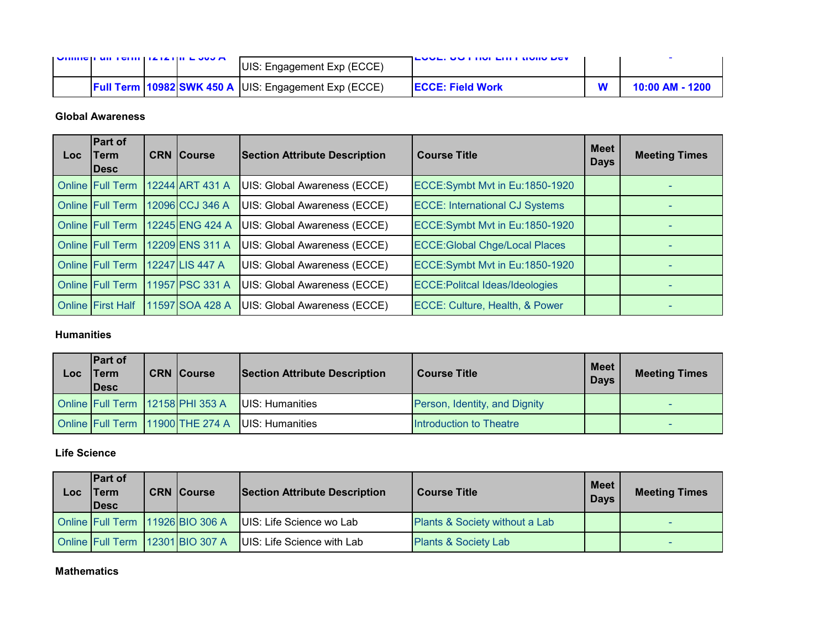|  | <b>NUMBER OF STREET IS A SHIFT OF A SHIFT OF A STREET AND A</b> | UIS: Engagement Exp (ECCE)                                   | <b>LOVE, US FIRE LIFE HORD DOV</b> |                 |
|--|-----------------------------------------------------------------|--------------------------------------------------------------|------------------------------------|-----------------|
|  |                                                                 | <b>Full Term 10982 SWK 450 A JUIS: Engagement Exp (ECCE)</b> | <b>IECCE: Field Work</b>           | 10:00 AM - 1200 |

#### **Global Awareness**

| Loc | <b>Part of</b><br>Term<br>lDesc | <b>CRN Course</b> | <b>Section Attribute Description</b> | <b>Course Title</b>                    | <b>Meet</b><br><b>Days</b> | <b>Meeting Times</b> |
|-----|---------------------------------|-------------------|--------------------------------------|----------------------------------------|----------------------------|----------------------|
|     | <b>Online Full Term</b>         | 12244 ART 431 A   | UIS: Global Awareness (ECCE)         | ECCE:Symbt Mvt in Eu:1850-1920         |                            |                      |
|     | <b>Online Full Term</b>         | 12096 CCJ 346 A   | UIS: Global Awareness (ECCE)         | <b>ECCE: International CJ Systems</b>  |                            |                      |
|     | <b>Online Full Term</b>         | 12245 ENG 424 A   | UIS: Global Awareness (ECCE)         | ECCE:Symbt Mvt in Eu:1850-1920         |                            |                      |
|     | <b>Online Full Term</b>         | 12209 ENS 311 A   | UIS: Global Awareness (ECCE)         | <b>ECCE: Global Chge/Local Places</b>  |                            |                      |
|     | <b>Online Full Term</b>         | 12247 LIS 447 A   | UIS: Global Awareness (ECCE)         | ECCE:Symbt Mvt in Eu:1850-1920         |                            |                      |
|     | <b>Online Full Term</b>         | 11957 PSC 331 A   | UIS: Global Awareness (ECCE)         | <b>ECCE: Politcal Ideas/Ideologies</b> |                            |                      |
|     | <b>Online First Half</b>        | 11597 SOA 428 A   | UIS: Global Awareness (ECCE)         | ECCE: Culture, Health, & Power         |                            |                      |

## **Humanities**

| Loc | <b>IPart of</b><br><b>Term</b><br><b>IDesc</b> | <b>CRN Course</b>                | <b>Section Attribute Description</b> | <b>Course Title</b>           | <b>Meet</b><br><b>Days</b> | <b>Meeting Times</b> |
|-----|------------------------------------------------|----------------------------------|--------------------------------------|-------------------------------|----------------------------|----------------------|
|     | Online Full Term 12158 PHI 353 A               |                                  | UIS: Humanities                      | Person, Identity, and Dignity |                            |                      |
|     |                                                | Online Full Term 11900 THE 274 A | UIS: Humanities                      | Introduction to Theatre       |                            |                      |

## **Life Science**

| Loc | <b>Part of</b><br>'Term<br><b>IDesc</b> | <b>CRN Course</b>                | <b>Section Attribute Description</b> | <b>Course Title</b>             | Meet I<br><b>Days</b> | <b>Meeting Times</b> |
|-----|-----------------------------------------|----------------------------------|--------------------------------------|---------------------------------|-----------------------|----------------------|
|     |                                         | Online Full Term 11926 BIO 306 A | UIS: Life Science wo Lab             | Plants & Society without a Lab  |                       |                      |
|     |                                         | Online Full Term 12301 BIO 307 A | UIS: Life Science with Lab           | <b>Plants &amp; Society Lab</b> |                       |                      |

#### **Mathematics**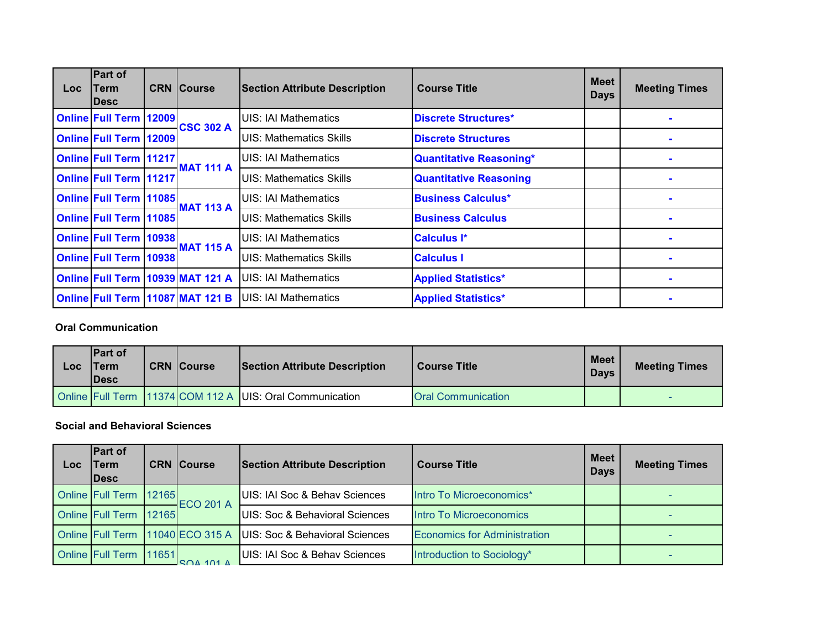| Loc: | Part of<br>Term<br><b>IDesc</b>  | <b>CRN Course</b>                | <b>Section Attribute Description</b> | <b>Course Title</b>           | <b>Meet</b><br><b>Days</b> | <b>Meeting Times</b> |
|------|----------------------------------|----------------------------------|--------------------------------------|-------------------------------|----------------------------|----------------------|
|      | <b>Online Full Term 12009</b>    | <b>CSC 302 A</b>                 | UIS: IAI Mathematics                 | Discrete Structures*          |                            |                      |
|      | <b>Online Full Term 12009</b>    |                                  | <b>UIS: Mathematics Skills</b>       | <b>Discrete Structures</b>    |                            |                      |
|      | <b>Online Full Term 11217</b>    | <b>MAT 111 A</b>                 | <b>UIS: IAI Mathematics</b>          | Quantitative Reasoning*       |                            |                      |
|      | <b>Online Full Term 11217</b>    |                                  | <b>UIS: Mathematics Skills</b>       | <b>Quantitative Reasoning</b> |                            |                      |
|      | <b>Online Full Term 11085</b>    | <b>MAT 113 A</b>                 | <b>UIS: IAI Mathematics</b>          | <b>Business Calculus*</b>     |                            |                      |
|      | <b>Online Full Term   11085 </b> |                                  | <b>UIS: Mathematics Skills</b>       | <b>Business Calculus</b>      |                            |                      |
|      | <b>Online Full Term   10938</b>  |                                  | <b>UIS: IAI Mathematics</b>          | <b>Calculus I*</b>            |                            |                      |
|      | <b>Online Full Term 10938</b>    | <b>MAT 115 A</b>                 | <b>UIS: Mathematics Skills</b>       | <b>Calculus I</b>             |                            |                      |
|      |                                  | Online Full Term 10939 MAT 121 A | UIS: IAI Mathematics                 | <b>Applied Statistics*</b>    |                            |                      |
|      |                                  | Online Full Term 11087 MAT 121 B | <b>UIS: IAI Mathematics</b>          | <b>Applied Statistics*</b>    |                            | $\sim$               |

**Oral Communication**

| LOC | <b>IPart of</b><br>Term<br><b>IDesc</b> | <b>CRN Course</b> | <b>Section Attribute Description</b>                     | <b>Course Title</b>       | <b>Meet</b><br><b>Davs</b> | <b>Meeting Times</b> |
|-----|-----------------------------------------|-------------------|----------------------------------------------------------|---------------------------|----------------------------|----------------------|
|     |                                         |                   | Online Full Term 11374 COM 112 A UIS: Oral Communication | <b>Oral Communication</b> |                            |                      |

#### **Social and Behavioral Sciences**

| Loc | <b>Part of</b><br><b>Term</b><br><b>IDesc</b> | <b>CRN</b> Course                     | <b>Section Attribute Description</b>      | <b>Course Title</b>                 | <b>Meet</b><br><b>Days</b> | <b>Meeting Times</b> |
|-----|-----------------------------------------------|---------------------------------------|-------------------------------------------|-------------------------------------|----------------------------|----------------------|
|     | Online Full Term 12165                        | <b>ECO 201 A</b>                      | UIS: IAI Soc & Behav Sciences             | Intro To Microeconomics*            |                            |                      |
|     | Online Full Term 12165                        |                                       | <b>UIS: Soc &amp; Behavioral Sciences</b> | Intro To Microeconomics             |                            |                      |
|     |                                               | Online Full Term 11040 ECO 315 A      | UIS: Soc & Behavioral Sciences            | <b>Economics for Administration</b> |                            |                      |
|     | Online Full Term 11651                        | $R$ $\cap$ $\wedge$ $\wedge$ $\wedge$ | <b>UIS: IAI Soc &amp; Behav Sciences</b>  | Introduction to Sociology*          |                            |                      |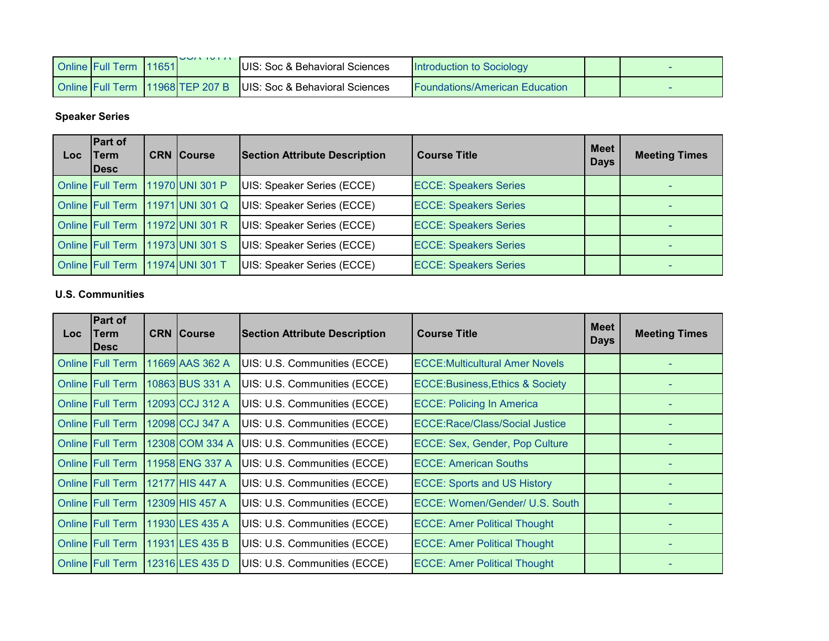| <b>Online Full Term 11651</b> | $UU \cap U \cap \cap$ | <b>IUIS: Soc &amp; Behavioral Sciences</b>                          | Introduction to Sociology      |  |
|-------------------------------|-----------------------|---------------------------------------------------------------------|--------------------------------|--|
|                               |                       | Online Full Term   11968 TEP 207 B   UIS: Soc & Behavioral Sciences | Foundations/American Education |  |

# **Speaker Series**

| Loc | <b>Part of</b><br><b>Term</b><br><b>IDesc</b> | <b>CRN Course</b>                | <b>Section Attribute Description</b> | <b>Course Title</b>          | <b>Meet</b><br><b>Days</b> | <b>Meeting Times</b> |
|-----|-----------------------------------------------|----------------------------------|--------------------------------------|------------------------------|----------------------------|----------------------|
|     | <b>Online Full Term</b>                       | 11970 UNI 301 P                  | UIS: Speaker Series (ECCE)           | <b>ECCE: Speakers Series</b> |                            |                      |
|     |                                               | Online Full Term 11971 UNI 301 Q | UIS: Speaker Series (ECCE)           | <b>ECCE: Speakers Series</b> |                            |                      |
|     |                                               | Online Full Term 11972 UNI 301 R | UIS: Speaker Series (ECCE)           | <b>ECCE: Speakers Series</b> |                            |                      |
|     | Online Full Term 11973 UNI 301 S              |                                  | UIS: Speaker Series (ECCE)           | <b>ECCE: Speakers Series</b> |                            |                      |
|     | <b>Online Full Term</b>                       | 11974 UNI 301 T                  | UIS: Speaker Series (ECCE)           | <b>ECCE: Speakers Series</b> |                            |                      |

## **U.S. Communities**

| Loc | <b>Part of</b><br>Term<br><b>IDesc</b> | <b>CRN Course</b> | <b>Section Attribute Description</b> | <b>Course Title</b>                        | <b>Meet</b><br><b>Days</b> | <b>Meeting Times</b> |
|-----|----------------------------------------|-------------------|--------------------------------------|--------------------------------------------|----------------------------|----------------------|
|     | <b>Online Full Term</b>                | 11669 AAS 362 A   | UIS: U.S. Communities (ECCE)         | <b>ECCE: Multicultural Amer Novels</b>     |                            |                      |
|     | <b>Online Full Term</b>                | 10863 BUS 331 A   | UIS: U.S. Communities (ECCE)         | <b>ECCE:Business, Ethics &amp; Society</b> |                            |                      |
|     | <b>Online Full Term</b>                | 12093 CCJ 312 A   | UIS: U.S. Communities (ECCE)         | <b>ECCE: Policing In America</b>           |                            |                      |
|     | <b>Online Full Term</b>                | 12098 CCJ 347 A   | UIS: U.S. Communities (ECCE)         | <b>ECCE:Race/Class/Social Justice</b>      |                            |                      |
|     | <b>Online Full Term</b>                | 12308 COM 334 A   | UIS: U.S. Communities (ECCE)         | ECCE: Sex, Gender, Pop Culture             |                            |                      |
|     | <b>Online Full Term</b>                | 11958 ENG 337 A   | UIS: U.S. Communities (ECCE)         | <b>ECCE: American Souths</b>               |                            |                      |
|     | <b>Online Full Term</b>                | 12177 HIS 447 A   | UIS: U.S. Communities (ECCE)         | <b>ECCE: Sports and US History</b>         |                            |                      |
|     | <b>Online Full Term</b>                | 12309 HIS 457 A   | UIS: U.S. Communities (ECCE)         | ECCE: Women/Gender/ U.S. South             |                            |                      |
|     | <b>Online Full Term</b>                | 11930 LES 435 A   | UIS: U.S. Communities (ECCE)         | <b>ECCE: Amer Political Thought</b>        |                            |                      |
|     | <b>Online Full Term</b>                | 11931 LES 435 B   | UIS: U.S. Communities (ECCE)         | <b>ECCE: Amer Political Thought</b>        |                            |                      |
|     | <b>Online Full Term</b>                | 12316 LES 435 D   | UIS: U.S. Communities (ECCE)         | <b>ECCE: Amer Political Thought</b>        |                            |                      |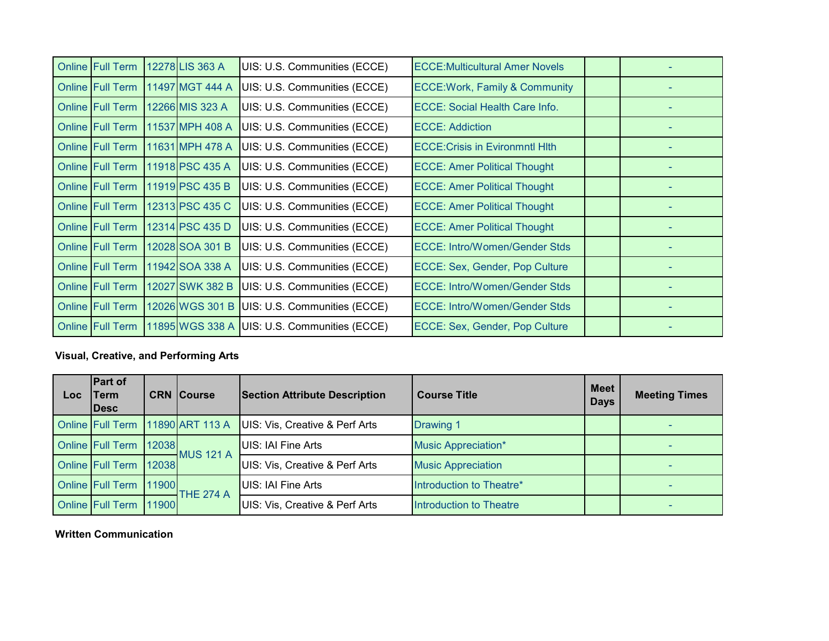| <b>Online Full Term</b> | 12278 LIS 363 A | UIS: U.S. Communities (ECCE)                   | <b>ECCE:Multicultural Amer Novels</b>     |  |
|-------------------------|-----------------|------------------------------------------------|-------------------------------------------|--|
| <b>Online Full Term</b> | 11497 MGT 444 A | UIS: U.S. Communities (ECCE)                   | <b>ECCE: Work, Family &amp; Community</b> |  |
| <b>Online Full Term</b> | 12266 MIS 323 A | UIS: U.S. Communities (ECCE)                   | <b>ECCE: Social Health Care Info.</b>     |  |
| <b>Online Full Term</b> | 11537 MPH 408 A | UIS: U.S. Communities (ECCE)                   | <b>ECCE: Addiction</b>                    |  |
| <b>Online Full Term</b> | 11631 MPH 478 A | UIS: U.S. Communities (ECCE)                   | <b>ECCE: Crisis in Evironmntl Hith</b>    |  |
| <b>Online Full Term</b> | 11918 PSC 435 A | UIS: U.S. Communities (ECCE)                   | <b>ECCE: Amer Political Thought</b>       |  |
| <b>Online Full Term</b> | 11919 PSC 435 B | UIS: U.S. Communities (ECCE)                   | <b>ECCE: Amer Political Thought</b>       |  |
| <b>Online Full Term</b> | 12313 PSC 435 C | UIS: U.S. Communities (ECCE)                   | <b>ECCE: Amer Political Thought</b>       |  |
| <b>Online Full Term</b> | 12314 PSC 435 D | UIS: U.S. Communities (ECCE)                   | <b>ECCE: Amer Political Thought</b>       |  |
| <b>Online Full Term</b> | 12028 SOA 301 B | UIS: U.S. Communities (ECCE)                   | <b>ECCE: Intro/Women/Gender Stds</b>      |  |
| <b>Online Full Term</b> | 11942 SOA 338 A | UIS: U.S. Communities (ECCE)                   | ECCE: Sex, Gender, Pop Culture            |  |
| <b>Online Full Term</b> | 12027 SWK 382 B | UIS: U.S. Communities (ECCE)                   | <b>ECCE: Intro/Women/Gender Stds</b>      |  |
| <b>Online Full Term</b> | 12026 WGS 301 B | UIS: U.S. Communities (ECCE)                   | <b>ECCE: Intro/Women/Gender Stds</b>      |  |
| <b>Online Full Term</b> |                 | 11895 WGS 338 A   UIS: U.S. Communities (ECCE) | <b>ECCE: Sex, Gender, Pop Culture</b>     |  |

# **Visual, Creative, and Performing Arts**

| Loc. | <b>Part of</b><br>Term<br><b>IDesc</b> |       | <b>CRN Course</b> | <b>Section Attribute Description</b>      | <b>Course Title</b>        |  | <b>Meeting Times</b> |
|------|----------------------------------------|-------|-------------------|-------------------------------------------|----------------------------|--|----------------------|
|      | Online Full Term                       |       | 11890 ART 113 A   | UIS: Vis, Creative & Perf Arts            | <b>Drawing 1</b>           |  |                      |
|      | Online Full Term   12038               |       | <b>MUS 121 A</b>  | UIS: IAI Fine Arts                        | <b>Music Appreciation*</b> |  |                      |
|      | Online Full Term 12038                 |       |                   | <b>UIS: Vis, Creative &amp; Perf Arts</b> | <b>Music Appreciation</b>  |  |                      |
|      | <b>Online Full Term</b>                | 11900 | THE 274 A         | UIS: IAI Fine Arts                        | Introduction to Theatre*   |  |                      |
|      | <b>Online Full Term</b>                | 11900 |                   | UIS: Vis, Creative & Perf Arts            | Introduction to Theatre    |  |                      |

### **Written Communication**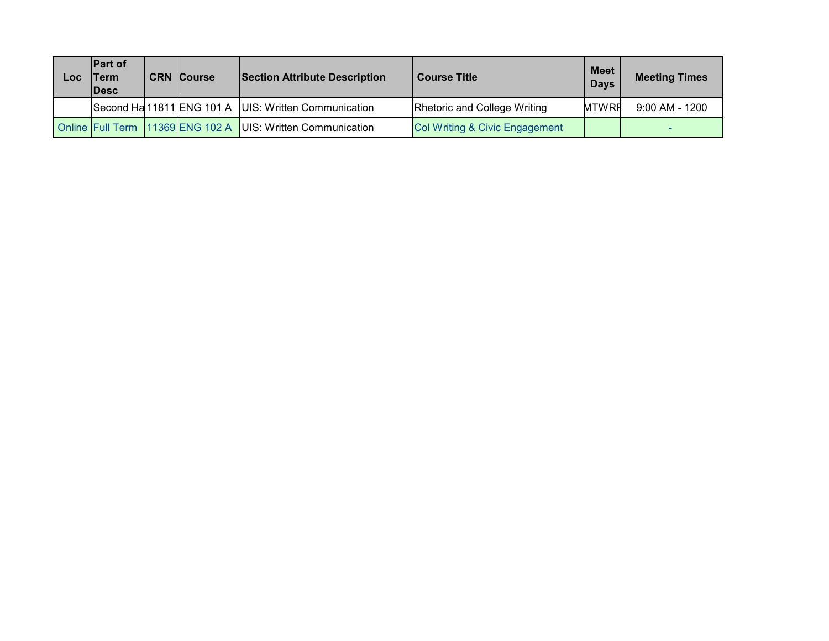| Loc | <b>IPart of</b><br>Term<br><b>IDesc</b> | <b>CRN Course</b>                | <b>Section Attribute Description</b>                   | <b>Course Title</b>                 | <b>Meet</b><br><b>Days</b> | <b>Meeting Times</b> |
|-----|-----------------------------------------|----------------------------------|--------------------------------------------------------|-------------------------------------|----------------------------|----------------------|
|     |                                         |                                  | Second Ha 11811 ENG 101 A   UIS: Written Communication | <b>Rhetoric and College Writing</b> | <b>MTWRF</b>               | $9:00$ AM - 1200     |
|     |                                         | Online Full Term 11369 ENG 102 A | UIS: Written Communication                             | Col Writing & Civic Engagement      |                            |                      |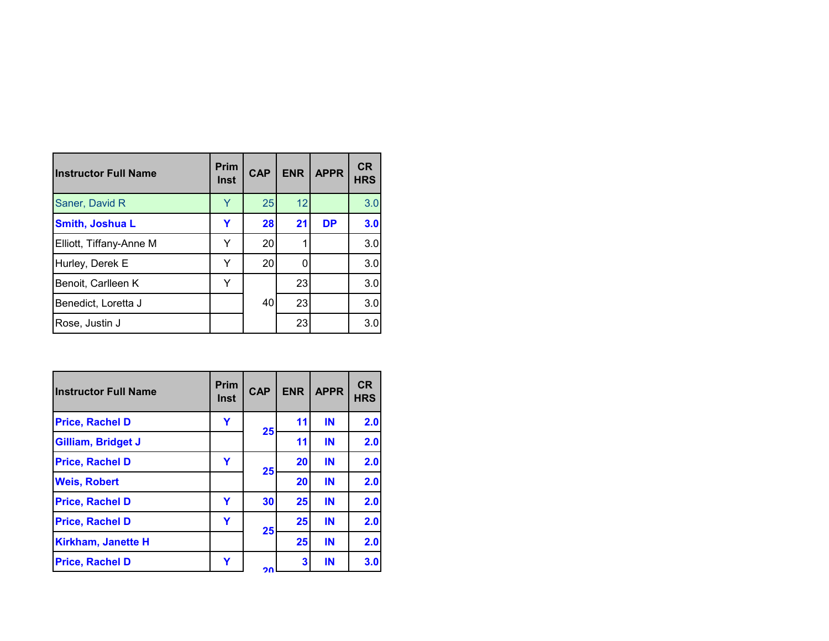| <b>Instructor Full Name</b> | Prim<br><b>Inst</b> | <b>CAP</b> | <b>ENR</b> | <b>APPR</b> | <b>CR</b><br><b>HRS</b> |
|-----------------------------|---------------------|------------|------------|-------------|-------------------------|
| Saner, David R              | Y                   | 25         | 12         |             | 3.0                     |
| Smith, Joshua L             | Y                   | 28         | 21         | <b>DP</b>   | 3.0                     |
| Elliott, Tiffany-Anne M     | ٧                   | 20         |            |             | 3.0                     |
| Hurley, Derek E             | Y                   | 20         |            |             | 3.0                     |
| Benoit, Carlleen K          | Y                   |            | 23         |             | 3.0                     |
| Benedict, Loretta J         |                     | 40         | 23         |             | 3.0                     |
| Rose, Justin J              |                     |            | 23         |             | 3.0                     |

| lInstructor Full Name     | <b>Prim</b><br>Inst | <b>CAP</b> | <b>ENR</b> | <b>APPR</b> | <b>CR</b><br><b>HRS</b> |
|---------------------------|---------------------|------------|------------|-------------|-------------------------|
| <b>Price, Rachel D</b>    | Υ                   | 25         | 11         | IN          | 2.0                     |
| Gilliam, Bridget J        |                     |            | 11         | IN          | 2.0                     |
| <b>Price, Rachel D</b>    | Y                   |            | 20         | IN          | 2.0                     |
| <b>Weis, Robert</b>       |                     | 25         | 20         | IN          | 2.0                     |
| <b>Price, Rachel D</b>    | Y                   | 30         | 25         | IN          | 2.0                     |
| <b>Price, Rachel D</b>    | Y                   |            | 25         | IN          | 2.0                     |
| <b>Kirkham, Janette H</b> |                     | 25         | 25         | IN          | 2.0                     |
| <b>Price, Rachel D</b>    | Y                   | חר         | 3          | IN          | 3.0                     |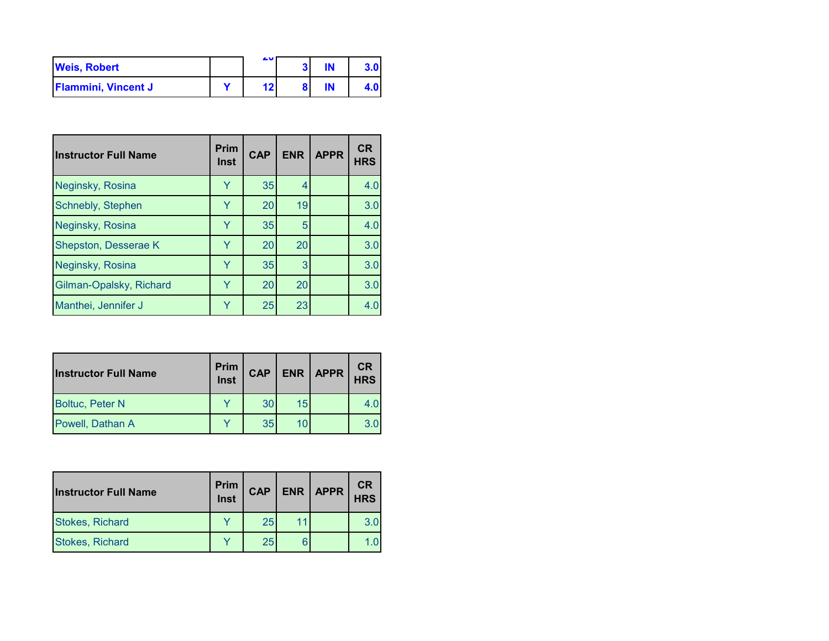| <b>Weis, Robert</b>        | ΔV |  |  |
|----------------------------|----|--|--|
| <b>Flammini, Vincent J</b> |    |  |  |

| <b>Instructor Full Name</b> | Prim<br><b>Inst</b> | <b>CAP</b> | <b>ENR</b> | <b>APPR</b> | <b>CR</b><br><b>HRS</b> |
|-----------------------------|---------------------|------------|------------|-------------|-------------------------|
| Neginsky, Rosina            | Y                   | 35         | 4          |             | 4.0                     |
| Schnebly, Stephen           | Y                   | 20         | 19         |             | 3.0                     |
| Neginsky, Rosina            | Y                   | 35         | 5          |             | 4.0                     |
| Shepston, Desserae K        | Y                   | 20         | 20         |             | 3.0                     |
| Neginsky, Rosina            | Y                   | 35         | 3          |             | 3.0                     |
| Gilman-Opalsky, Richard     | Y                   | 20         | 20         |             | 3.0                     |
| Manthei, Jennifer J         | Y                   | 25         | 23         |             | 4.0                     |

| <b>Instructor Full Name</b> | Prim<br>Inst | <b>CAP</b> |    | <b>ENR   APPR</b> | <b>CR</b><br><b>HRS</b> |
|-----------------------------|--------------|------------|----|-------------------|-------------------------|
| <b>Boltuc, Peter N</b>      |              | 30         | 15 |                   |                         |
| Powell, Dathan A            |              | 35         | 10 |                   | 3.0                     |

| <b>Instructor Full Name</b> | Prim<br>Inst | <b>CAP</b> |    | ENR   APPR | <b>CR</b><br><b>HRS</b> |
|-----------------------------|--------------|------------|----|------------|-------------------------|
| <b>Stokes, Richard</b>      |              | 25         | 11 |            | 3.0                     |
| <b>Stokes, Richard</b>      |              | 25         |    |            |                         |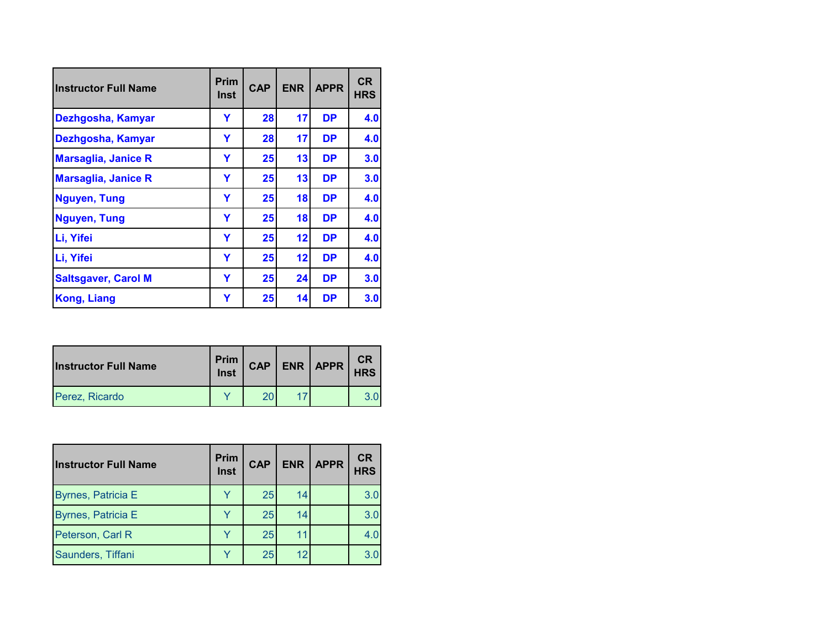| <b>Instructor Full Name</b> | <b>Prim</b><br>Inst | <b>CAP</b> | <b>ENR</b> | <b>APPR</b> | <b>CR</b><br><b>HRS</b> |
|-----------------------------|---------------------|------------|------------|-------------|-------------------------|
| Dezhgosha, Kamyar           | Ÿ                   | 28         | 17         | <b>DP</b>   | 4.0                     |
| Dezhgosha, Kamyar           | Y                   | 28         | 17         | <b>DP</b>   | 4.0                     |
| <b>Marsaglia, Janice R</b>  | Y                   | 25         | 13         | <b>DP</b>   | 3.0                     |
| <b>Marsaglia, Janice R</b>  | Y                   | 25         | 13         | <b>DP</b>   | 3.0                     |
| <b>Nguyen, Tung</b>         | Y                   | 25         | 18         | <b>DP</b>   | 4.0                     |
| <b>Nguyen, Tung</b>         | Ÿ                   | 25         | 18         | <b>DP</b>   | 4.0                     |
| Li, Yifei                   | Y                   | 25         | 12         | <b>DP</b>   | 4.0                     |
| Li, Yifei                   | Ÿ                   | 25         | 12         | <b>DP</b>   | 4.0                     |
| <b>Saltsgaver, Carol M</b>  | Y                   | 25         | 24         | <b>DP</b>   | 3.0                     |
| Kong, Liang                 | Y                   | 25         | 14         | <b>DP</b>   | 3.0                     |

| <b>Instructor Full Name</b> | Prim  <br>Inst | <b>CAP</b> | ENR   APPR | CR<br><b>HRS</b> |
|-----------------------------|----------------|------------|------------|------------------|
| Perez, Ricardo              |                |            |            |                  |

| <b>Instructor Full Name</b> | <b>Prim</b><br>Inst | <b>CAP</b> | <b>ENR</b> | <b>APPR</b> | <b>CR</b><br><b>HRS</b> |
|-----------------------------|---------------------|------------|------------|-------------|-------------------------|
| <b>Byrnes, Patricia E</b>   |                     | 25         | 14         |             | 3.0                     |
| <b>Byrnes, Patricia E</b>   |                     | 25         | 14         |             | 3.0                     |
| Peterson, Carl R            |                     | 25         |            |             | 4.0                     |
| Saunders, Tiffani           |                     | 25         | 12         |             | 3.0                     |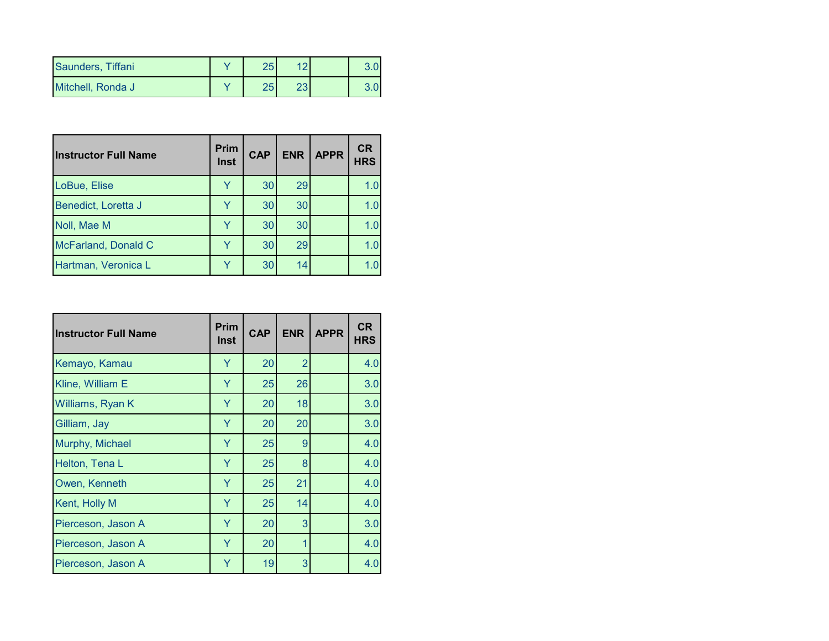| Saunders, Tiffani | つに<br>دے |     |  |
|-------------------|----------|-----|--|
| Mitchell, Ronda J | つに<br>دے | ה ה |  |

| <b>Instructor Full Name</b> | <b>Prim</b><br>Inst | <b>CAP</b> | <b>ENR</b> | <b>APPR</b> | <b>CR</b><br><b>HRS</b> |
|-----------------------------|---------------------|------------|------------|-------------|-------------------------|
| LoBue, Elise                |                     | 30         | 29         |             | 1.0                     |
| Benedict, Loretta J         |                     | 30         | 30         |             | 1.0                     |
| Noll, Mae M                 |                     | 30         | 30         |             | 1.0                     |
| McFarland, Donald C         |                     | 30         | 29         |             | 1.0                     |
| Hartman, Veronica L         |                     | 30         | 14         |             |                         |

| <b>Instructor Full Name</b> | <b>Prim</b><br><b>Inst</b> | <b>CAP</b> | <b>ENR</b>     | <b>APPR</b> | <b>CR</b><br><b>HRS</b> |
|-----------------------------|----------------------------|------------|----------------|-------------|-------------------------|
| Kemayo, Kamau               | Y                          | 20         | $\overline{2}$ |             | 4.0                     |
| Kline, William E            | Y                          | 25         | 26             |             | 3.0                     |
| Williams, Ryan K            | Y                          | 20         | 18             |             | 3.0                     |
| Gilliam, Jay                | Y                          | 20         | 20             |             | 3.0                     |
| Murphy, Michael             | Y                          | 25         | 9              |             | 4.0                     |
| Helton, Tena L              | Y                          | 25         | 8              |             | 4.0                     |
| Owen, Kenneth               | Y                          | 25         | 21             |             | 4.0                     |
| Kent, Holly M               | Y                          | 25         | 14             |             | 4.0                     |
| Pierceson, Jason A          | Y                          | 20         | 3              |             | 3.0                     |
| Pierceson, Jason A          | Y                          | 20         | 1              |             | 4.0                     |
| Pierceson, Jason A          | Y                          | 19         | 3              |             | 4.0                     |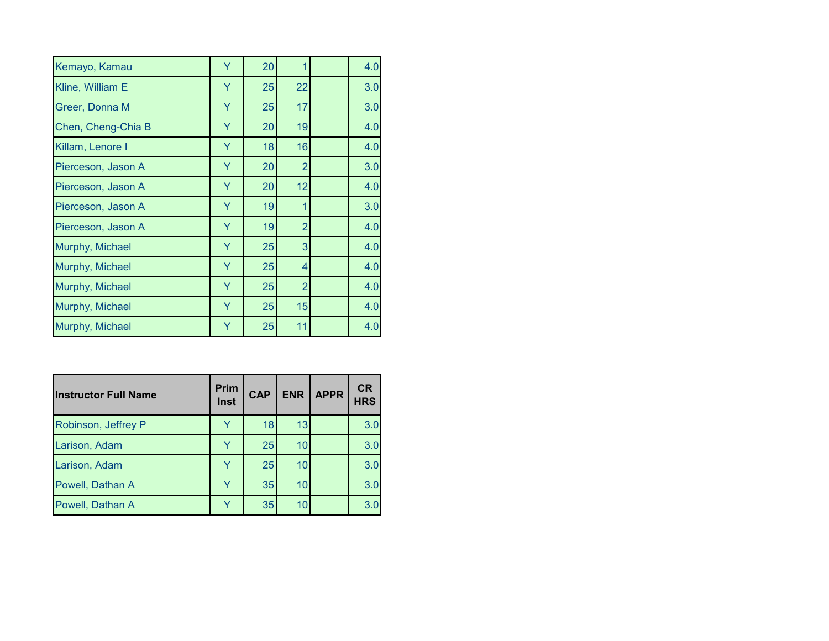| Kemayo, Kamau      | Y | 20 |                | 4.0 |
|--------------------|---|----|----------------|-----|
| Kline, William E   | Y | 25 | 22             | 3.0 |
| Greer, Donna M     | Y | 25 | 17             | 3.0 |
| Chen, Cheng-Chia B | Ÿ | 20 | 19             | 4.0 |
| Killam, Lenore I   | Y | 18 | 16             | 4.0 |
| Pierceson, Jason A | Y | 20 | $\overline{2}$ | 3.0 |
| Pierceson, Jason A | Y | 20 | 12             | 4.0 |
| Pierceson, Jason A | Y | 19 | 1              | 3.0 |
| Pierceson, Jason A | Y | 19 | $\overline{2}$ | 4.0 |
| Murphy, Michael    | Y | 25 | 3              | 4.0 |
| Murphy, Michael    | Y | 25 | 4              | 4.0 |
| Murphy, Michael    | Y | 25 | $\overline{2}$ | 4.0 |
| Murphy, Michael    | Y | 25 | 15             | 4.0 |
| Murphy, Michael    | Y | 25 | 11             | 4.0 |

| <b>Instructor Full Name</b> | Prim<br><b>Inst</b> | <b>CAP</b> | <b>ENR</b> | <b>APPR</b> | <b>CR</b><br><b>HRS</b> |
|-----------------------------|---------------------|------------|------------|-------------|-------------------------|
| Robinson, Jeffrey P         |                     | 18         | 13         |             | 3.0                     |
| Larison, Adam               |                     | 25         | 10         |             | 3.0                     |
| Larison, Adam               |                     | 25         | 10         |             | 3.0                     |
| Powell, Dathan A            |                     | 35         | 10         |             | 3.0                     |
| Powell, Dathan A            |                     | 35         | 10         |             | 3.0                     |